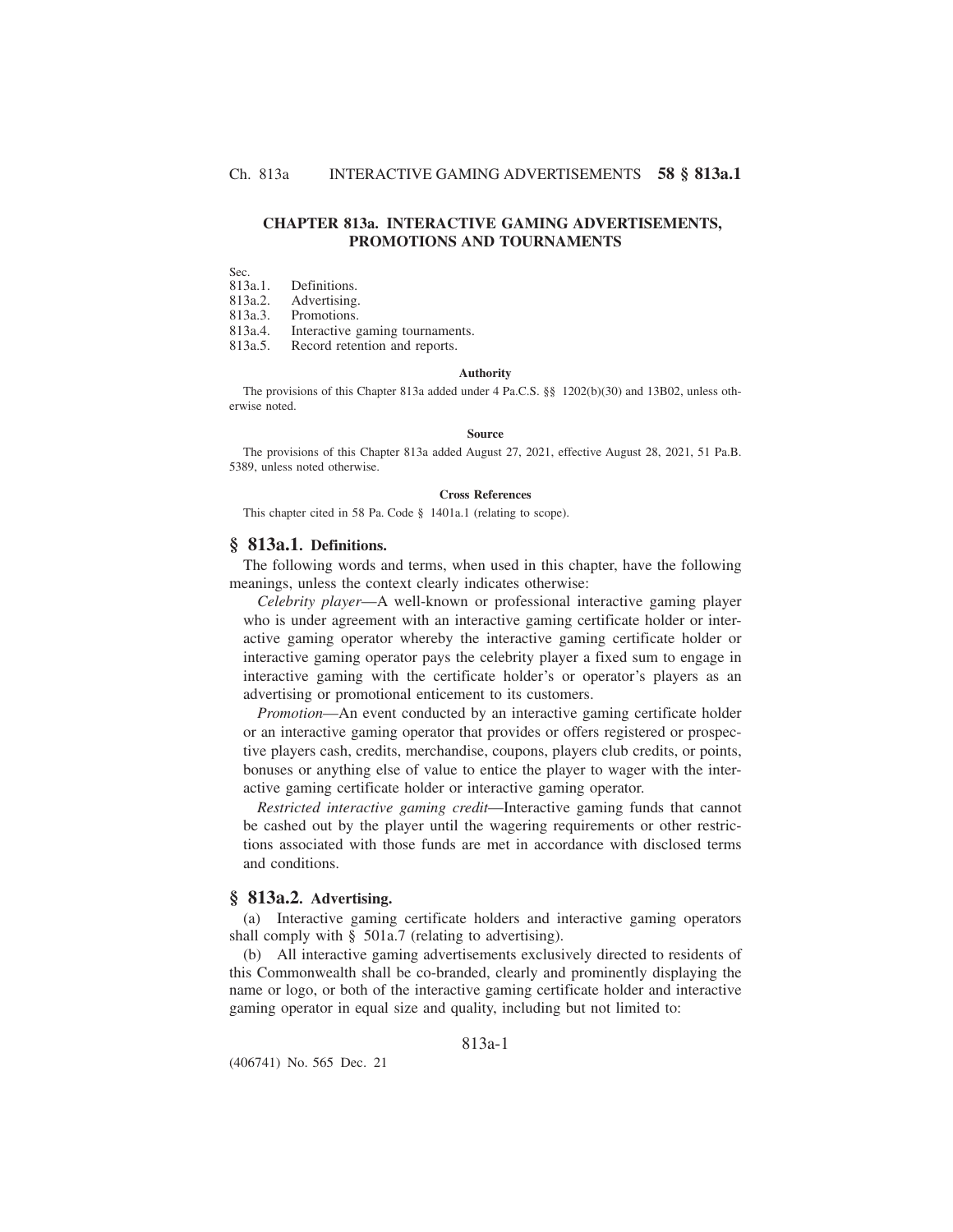# **CHAPTER 813a. INTERACTIVE GAMING ADVERTISEMENTS, PROMOTIONS AND TOURNAMENTS**

Sec.<br>813a.1. 813a.1. Definitions.<br>813a.2. Advertising

Advertising.

813a.3. Promotions.

813a.4. Interactive gaming tournaments.

813a.5. Record retention and reports.

#### **Authority**

The provisions of this Chapter 813a added under 4 Pa.C.S. §§ 1202(b)(30) and 13B02, unless otherwise noted.

#### **Source**

The provisions of this Chapter 813a added August 27, 2021, effective August 28, 2021, 51 Pa.B. 5389, unless noted otherwise.

### **Cross References**

This chapter cited in 58 Pa. Code § 1401a.1 (relating to scope).

# **§ 813a.1. Definitions.**

The following words and terms, when used in this chapter, have the following meanings, unless the context clearly indicates otherwise:

*Celebrity player*—A well-known or professional interactive gaming player who is under agreement with an interactive gaming certificate holder or interactive gaming operator whereby the interactive gaming certificate holder or interactive gaming operator pays the celebrity player a fixed sum to engage in interactive gaming with the certificate holder's or operator's players as an advertising or promotional enticement to its customers.

*Promotion*—An event conducted by an interactive gaming certificate holder or an interactive gaming operator that provides or offers registered or prospective players cash, credits, merchandise, coupons, players club credits, or points, bonuses or anything else of value to entice the player to wager with the interactive gaming certificate holder or interactive gaming operator.

*Restricted interactive gaming credit*—Interactive gaming funds that cannot be cashed out by the player until the wagering requirements or other restrictions associated with those funds are met in accordance with disclosed terms and conditions.

# **§ 813a.2. Advertising.**

(a) Interactive gaming certificate holders and interactive gaming operators shall comply with § 501a.7 (relating to advertising).

(b) All interactive gaming advertisements exclusively directed to residents of this Commonwealth shall be co-branded, clearly and prominently displaying the name or logo, or both of the interactive gaming certificate holder and interactive gaming operator in equal size and quality, including but not limited to:

# 813a-1

(406741) No. 565 Dec. 21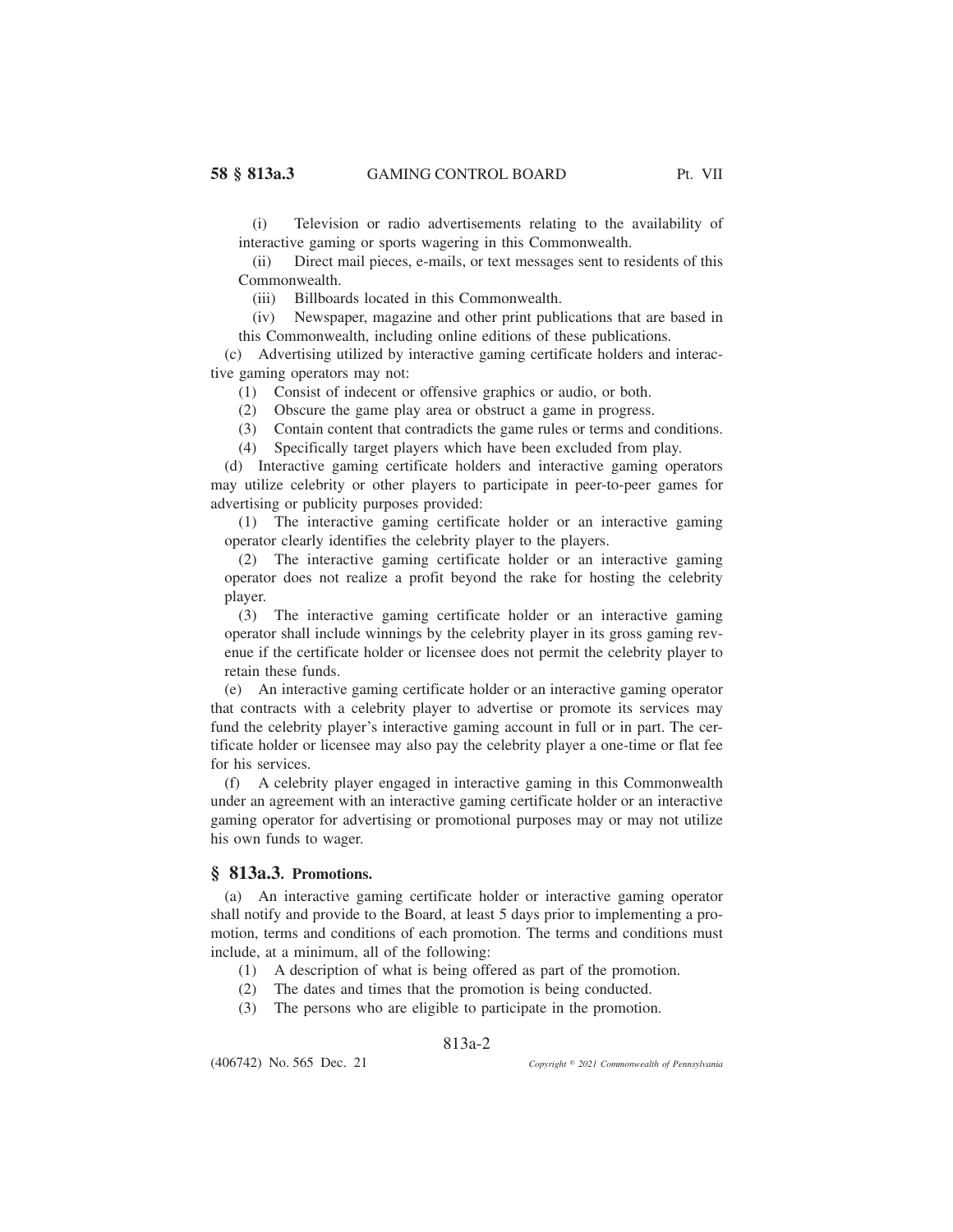(i) Television or radio advertisements relating to the availability of interactive gaming or sports wagering in this Commonwealth.

(ii) Direct mail pieces, e-mails, or text messages sent to residents of this Commonwealth.

(iii) Billboards located in this Commonwealth.

(iv) Newspaper, magazine and other print publications that are based in this Commonwealth, including online editions of these publications.

(c) Advertising utilized by interactive gaming certificate holders and interactive gaming operators may not:

(1) Consist of indecent or offensive graphics or audio, or both.

(2) Obscure the game play area or obstruct a game in progress.

(3) Contain content that contradicts the game rules or terms and conditions.

(4) Specifically target players which have been excluded from play.

(d) Interactive gaming certificate holders and interactive gaming operators may utilize celebrity or other players to participate in peer-to-peer games for advertising or publicity purposes provided:

(1) The interactive gaming certificate holder or an interactive gaming operator clearly identifies the celebrity player to the players.

(2) The interactive gaming certificate holder or an interactive gaming operator does not realize a profit beyond the rake for hosting the celebrity player.

(3) The interactive gaming certificate holder or an interactive gaming operator shall include winnings by the celebrity player in its gross gaming revenue if the certificate holder or licensee does not permit the celebrity player to retain these funds.

(e) An interactive gaming certificate holder or an interactive gaming operator that contracts with a celebrity player to advertise or promote its services may fund the celebrity player's interactive gaming account in full or in part. The certificate holder or licensee may also pay the celebrity player a one-time or flat fee for his services.

(f) A celebrity player engaged in interactive gaming in this Commonwealth under an agreement with an interactive gaming certificate holder or an interactive gaming operator for advertising or promotional purposes may or may not utilize his own funds to wager.

### **§ 813a.3. Promotions.**

(a) An interactive gaming certificate holder or interactive gaming operator shall notify and provide to the Board, at least 5 days prior to implementing a promotion, terms and conditions of each promotion. The terms and conditions must include, at a minimum, all of the following:

- (1) A description of what is being offered as part of the promotion.
- (2) The dates and times that the promotion is being conducted.
- (3) The persons who are eligible to participate in the promotion.

# 813a-2

(406742) No. 565 Dec. 21

*2021 Commonwealth of Pennsylvania*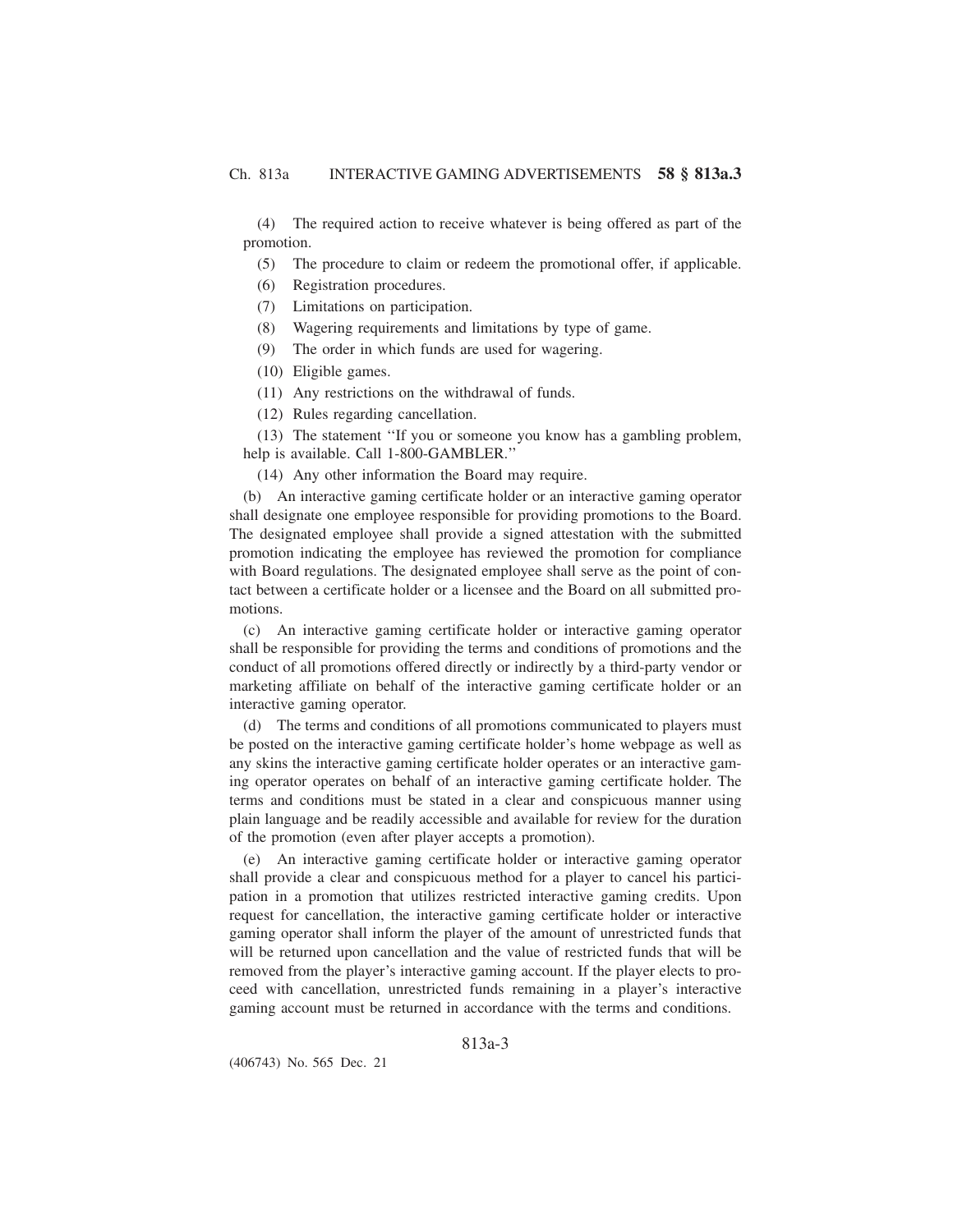(4) The required action to receive whatever is being offered as part of the promotion.

(5) The procedure to claim or redeem the promotional offer, if applicable.

- (6) Registration procedures.
- (7) Limitations on participation.
- (8) Wagering requirements and limitations by type of game.
- (9) The order in which funds are used for wagering.
- (10) Eligible games.
- (11) Any restrictions on the withdrawal of funds.
- (12) Rules regarding cancellation.

(13) The statement ''If you or someone you know has a gambling problem, help is available. Call 1-800-GAMBLER.''

(14) Any other information the Board may require.

(b) An interactive gaming certificate holder or an interactive gaming operator shall designate one employee responsible for providing promotions to the Board. The designated employee shall provide a signed attestation with the submitted promotion indicating the employee has reviewed the promotion for compliance with Board regulations. The designated employee shall serve as the point of contact between a certificate holder or a licensee and the Board on all submitted promotions.

(c) An interactive gaming certificate holder or interactive gaming operator shall be responsible for providing the terms and conditions of promotions and the conduct of all promotions offered directly or indirectly by a third-party vendor or marketing affiliate on behalf of the interactive gaming certificate holder or an interactive gaming operator.

(d) The terms and conditions of all promotions communicated to players must be posted on the interactive gaming certificate holder's home webpage as well as any skins the interactive gaming certificate holder operates or an interactive gaming operator operates on behalf of an interactive gaming certificate holder. The terms and conditions must be stated in a clear and conspicuous manner using plain language and be readily accessible and available for review for the duration of the promotion (even after player accepts a promotion).

(e) An interactive gaming certificate holder or interactive gaming operator shall provide a clear and conspicuous method for a player to cancel his participation in a promotion that utilizes restricted interactive gaming credits. Upon request for cancellation, the interactive gaming certificate holder or interactive gaming operator shall inform the player of the amount of unrestricted funds that will be returned upon cancellation and the value of restricted funds that will be removed from the player's interactive gaming account. If the player elects to proceed with cancellation, unrestricted funds remaining in a player's interactive gaming account must be returned in accordance with the terms and conditions.

813a-3

(406743) No. 565 Dec. 21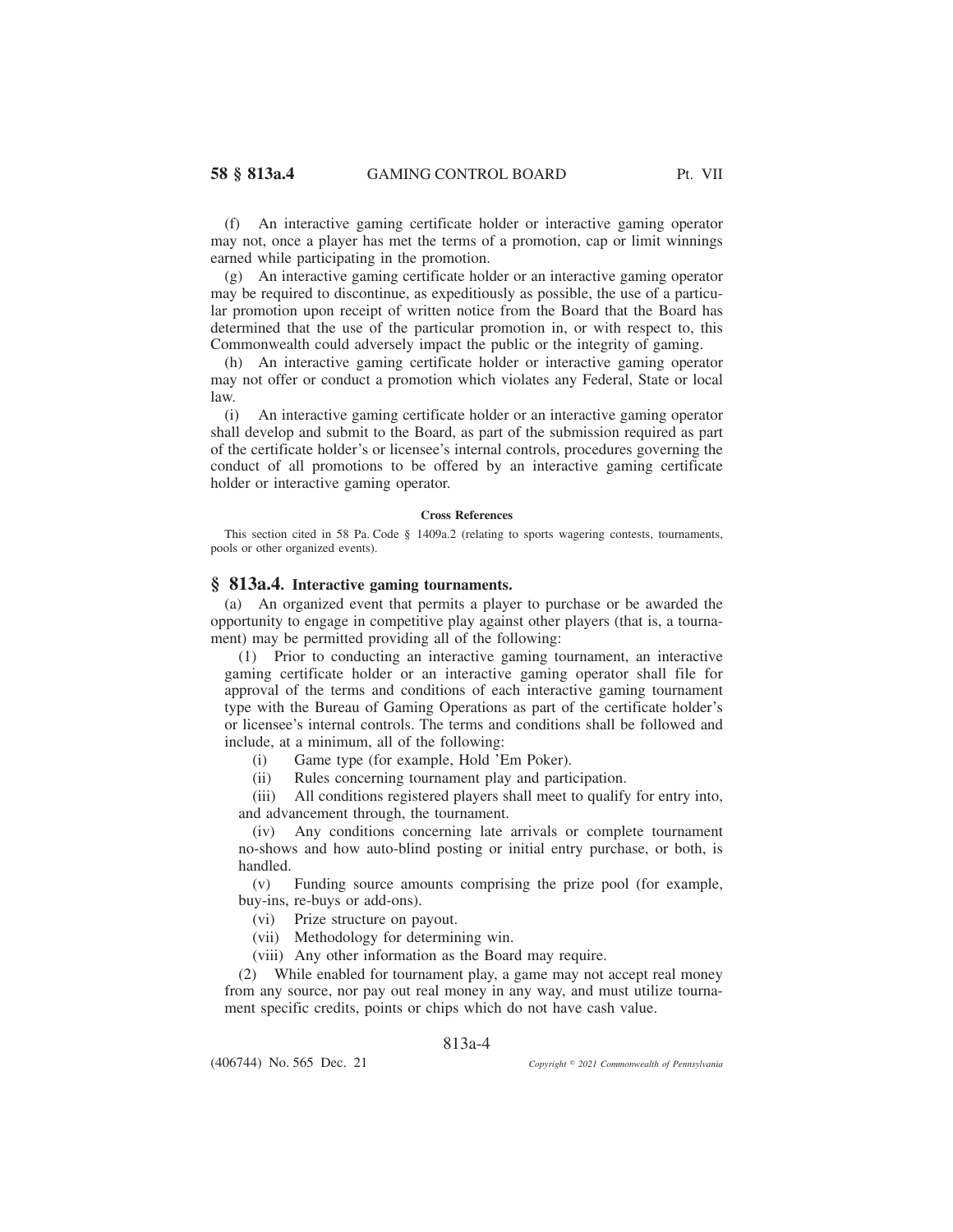(f) An interactive gaming certificate holder or interactive gaming operator may not, once a player has met the terms of a promotion, cap or limit winnings earned while participating in the promotion.

(g) An interactive gaming certificate holder or an interactive gaming operator may be required to discontinue, as expeditiously as possible, the use of a particular promotion upon receipt of written notice from the Board that the Board has determined that the use of the particular promotion in, or with respect to, this Commonwealth could adversely impact the public or the integrity of gaming.

(h) An interactive gaming certificate holder or interactive gaming operator may not offer or conduct a promotion which violates any Federal, State or local law.

(i) An interactive gaming certificate holder or an interactive gaming operator shall develop and submit to the Board, as part of the submission required as part of the certificate holder's or licensee's internal controls, procedures governing the conduct of all promotions to be offered by an interactive gaming certificate holder or interactive gaming operator.

### **Cross References**

This section cited in 58 Pa. Code § 1409a.2 (relating to sports wagering contests, tournaments, pools or other organized events).

## **§ 813a.4. Interactive gaming tournaments.**

(a) An organized event that permits a player to purchase or be awarded the opportunity to engage in competitive play against other players (that is, a tournament) may be permitted providing all of the following:

(1) Prior to conducting an interactive gaming tournament, an interactive gaming certificate holder or an interactive gaming operator shall file for approval of the terms and conditions of each interactive gaming tournament type with the Bureau of Gaming Operations as part of the certificate holder's or licensee's internal controls. The terms and conditions shall be followed and include, at a minimum, all of the following:

(i) Game type (for example, Hold 'Em Poker).

(ii) Rules concerning tournament play and participation.

(iii) All conditions registered players shall meet to qualify for entry into, and advancement through, the tournament.

(iv) Any conditions concerning late arrivals or complete tournament no-shows and how auto-blind posting or initial entry purchase, or both, is handled.

(v) Funding source amounts comprising the prize pool (for example, buy-ins, re-buys or add-ons).

(vi) Prize structure on payout.

(vii) Methodology for determining win.

(viii) Any other information as the Board may require.

(2) While enabled for tournament play, a game may not accept real money from any source, nor pay out real money in any way, and must utilize tournament specific credits, points or chips which do not have cash value.

## 813a-4

(406744) No. 565 Dec. 21

*2021 Commonwealth of Pennsylvania*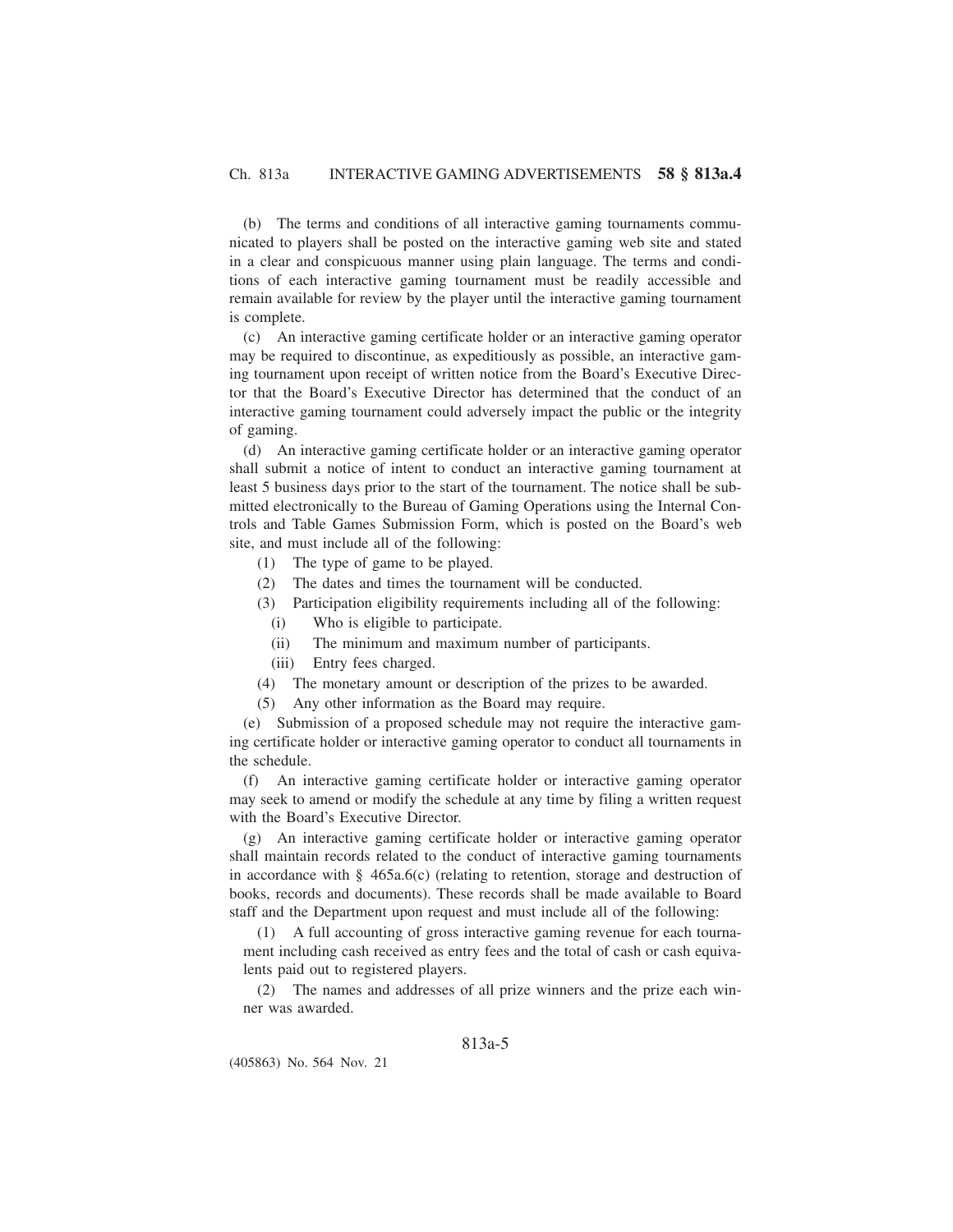(b) The terms and conditions of all interactive gaming tournaments communicated to players shall be posted on the interactive gaming web site and stated in a clear and conspicuous manner using plain language. The terms and conditions of each interactive gaming tournament must be readily accessible and remain available for review by the player until the interactive gaming tournament is complete.

(c) An interactive gaming certificate holder or an interactive gaming operator may be required to discontinue, as expeditiously as possible, an interactive gaming tournament upon receipt of written notice from the Board's Executive Director that the Board's Executive Director has determined that the conduct of an interactive gaming tournament could adversely impact the public or the integrity of gaming.

(d) An interactive gaming certificate holder or an interactive gaming operator shall submit a notice of intent to conduct an interactive gaming tournament at least 5 business days prior to the start of the tournament. The notice shall be submitted electronically to the Bureau of Gaming Operations using the Internal Controls and Table Games Submission Form, which is posted on the Board's web site, and must include all of the following:

- (1) The type of game to be played.
- (2) The dates and times the tournament will be conducted.
- (3) Participation eligibility requirements including all of the following:
	- (i) Who is eligible to participate.
	- (ii) The minimum and maximum number of participants.
	- (iii) Entry fees charged.
- (4) The monetary amount or description of the prizes to be awarded.
- (5) Any other information as the Board may require.

(e) Submission of a proposed schedule may not require the interactive gaming certificate holder or interactive gaming operator to conduct all tournaments in the schedule.

(f) An interactive gaming certificate holder or interactive gaming operator may seek to amend or modify the schedule at any time by filing a written request with the Board's Executive Director.

(g) An interactive gaming certificate holder or interactive gaming operator shall maintain records related to the conduct of interactive gaming tournaments in accordance with §  $465a.6(c)$  (relating to retention, storage and destruction of books, records and documents). These records shall be made available to Board staff and the Department upon request and must include all of the following:

(1) A full accounting of gross interactive gaming revenue for each tournament including cash received as entry fees and the total of cash or cash equivalents paid out to registered players.

(2) The names and addresses of all prize winners and the prize each winner was awarded.

# 813a-5

(405863) No. 564 Nov. 21